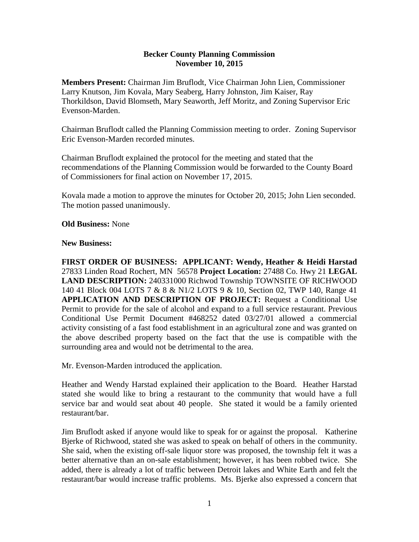### **Becker County Planning Commission November 10, 2015**

**Members Present:** Chairman Jim Bruflodt, Vice Chairman John Lien, Commissioner Larry Knutson, Jim Kovala, Mary Seaberg, Harry Johnston, Jim Kaiser, Ray Thorkildson, David Blomseth, Mary Seaworth, Jeff Moritz, and Zoning Supervisor Eric Evenson-Marden.

Chairman Bruflodt called the Planning Commission meeting to order. Zoning Supervisor Eric Evenson-Marden recorded minutes.

Chairman Bruflodt explained the protocol for the meeting and stated that the recommendations of the Planning Commission would be forwarded to the County Board of Commissioners for final action on November 17, 2015.

Kovala made a motion to approve the minutes for October 20, 2015; John Lien seconded. The motion passed unanimously.

## **Old Business:** None

#### **New Business:**

**FIRST ORDER OF BUSINESS: APPLICANT: Wendy, Heather & Heidi Harstad**  27833 Linden Road Rochert, MN 56578 **Project Location:** 27488 Co. Hwy 21 **LEGAL LAND DESCRIPTION:** 240331000 Richwod Township TOWNSITE OF RICHWOOD 140 41 Block 004 LOTS 7 & 8 & N1/2 LOTS 9 & 10, Section 02, TWP 140, Range 41 **APPLICATION AND DESCRIPTION OF PROJECT:** Request a Conditional Use Permit to provide for the sale of alcohol and expand to a full service restaurant. Previous Conditional Use Permit Document #468252 dated 03/27/01 allowed a commercial activity consisting of a fast food establishment in an agricultural zone and was granted on the above described property based on the fact that the use is compatible with the surrounding area and would not be detrimental to the area.

Mr. Evenson-Marden introduced the application.

Heather and Wendy Harstad explained their application to the Board. Heather Harstad stated she would like to bring a restaurant to the community that would have a full service bar and would seat about 40 people. She stated it would be a family oriented restaurant/bar.

Jim Bruflodt asked if anyone would like to speak for or against the proposal. Katherine Bjerke of Richwood, stated she was asked to speak on behalf of others in the community. She said, when the existing off-sale liquor store was proposed, the township felt it was a better alternative than an on-sale establishment; however, it has been robbed twice. She added, there is already a lot of traffic between Detroit lakes and White Earth and felt the restaurant/bar would increase traffic problems. Ms. Bjerke also expressed a concern that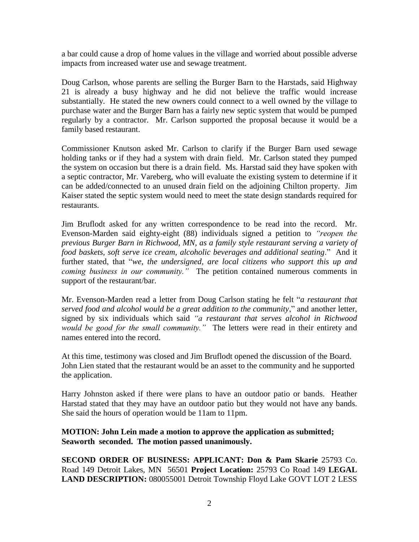a bar could cause a drop of home values in the village and worried about possible adverse impacts from increased water use and sewage treatment.

Doug Carlson, whose parents are selling the Burger Barn to the Harstads, said Highway 21 is already a busy highway and he did not believe the traffic would increase substantially. He stated the new owners could connect to a well owned by the village to purchase water and the Burger Barn has a fairly new septic system that would be pumped regularly by a contractor. Mr. Carlson supported the proposal because it would be a family based restaurant.

Commissioner Knutson asked Mr. Carlson to clarify if the Burger Barn used sewage holding tanks or if they had a system with drain field. Mr. Carlson stated they pumped the system on occasion but there is a drain field. Ms. Harstad said they have spoken with a septic contractor, Mr. Vareberg, who will evaluate the existing system to determine if it can be added/connected to an unused drain field on the adjoining Chilton property. Jim Kaiser stated the septic system would need to meet the state design standards required for restaurants.

Jim Bruflodt asked for any written correspondence to be read into the record. Mr. Evenson-Marden said eighty-eight (88) individuals signed a petition to *"reopen the previous Burger Barn in Richwood, MN, as a family style restaurant serving a variety of food baskets, soft serve ice cream, alcoholic beverages and additional seating*." And it further stated, that "*we, the undersigned, are local citizens who support this up and coming business in our community.*" The petition contained numerous comments in support of the restaurant/bar.

Mr. Evenson-Marden read a letter from Doug Carlson stating he felt "*a restaurant that served food and alcohol would be a great addition to the community*," and another letter, signed by six individuals which said *"a restaurant that serves alcohol in Richwood would be good for the small community."* The letters were read in their entirety and names entered into the record.

At this time, testimony was closed and Jim Bruflodt opened the discussion of the Board. John Lien stated that the restaurant would be an asset to the community and he supported the application.

Harry Johnston asked if there were plans to have an outdoor patio or bands. Heather Harstad stated that they may have an outdoor patio but they would not have any bands. She said the hours of operation would be 11am to 11pm.

# **MOTION: John Lein made a motion to approve the application as submitted; Seaworth seconded. The motion passed unanimously.**

**SECOND ORDER OF BUSINESS: APPLICANT: Don & Pam Skarie** 25793 Co. Road 149 Detroit Lakes, MN 56501 **Project Location:** 25793 Co Road 149 **LEGAL LAND DESCRIPTION:** 080055001 Detroit Township Floyd Lake GOVT LOT 2 LESS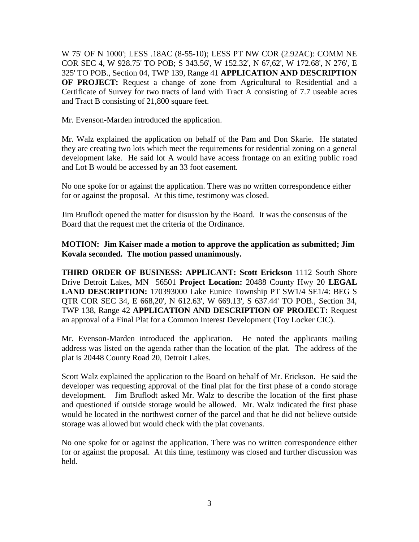W 75' OF N 1000'; LESS .18AC (8-55-10); LESS PT NW COR (2.92AC): COMM NE COR SEC 4, W 928.75' TO POB; S 343.56', W 152.32', N 67,62', W 172.68', N 276', E 325' TO POB., Section 04, TWP 139, Range 41 **APPLICATION AND DESCRIPTION OF PROJECT:** Request a change of zone from Agricultural to Residential and a Certificate of Survey for two tracts of land with Tract A consisting of 7.7 useable acres and Tract B consisting of 21,800 square feet.

Mr. Evenson-Marden introduced the application.

Mr. Walz explained the application on behalf of the Pam and Don Skarie. He statated they are creating two lots which meet the requirements for residential zoning on a general development lake. He said lot A would have access frontage on an exiting public road and Lot B would be accessed by an 33 foot easement.

No one spoke for or against the application. There was no written correspondence either for or against the proposal. At this time, testimony was closed.

Jim Bruflodt opened the matter for disussion by the Board. It was the consensus of the Board that the request met the criteria of the Ordinance.

# **MOTION: Jim Kaiser made a motion to approve the application as submitted; Jim Kovala seconded. The motion passed unanimously.**

**THIRD ORDER OF BUSINESS: APPLICANT: Scott Erickson** 1112 South Shore Drive Detroit Lakes, MN 56501 **Project Location:** 20488 County Hwy 20 **LEGAL LAND DESCRIPTION:** 170393000 Lake Eunice Township PT SW1/4 SE1/4: BEG S QTR COR SEC 34, E 668,20', N 612.63', W 669.13', S 637.44' TO POB., Section 34, TWP 138, Range 42 **APPLICATION AND DESCRIPTION OF PROJECT:** Request an approval of a Final Plat for a Common Interest Development (Toy Locker CIC).

Mr. Evenson-Marden introduced the application. He noted the applicants mailing address was listed on the agenda rather than the location of the plat. The address of the plat is 20448 County Road 20, Detroit Lakes.

Scott Walz explained the application to the Board on behalf of Mr. Erickson. He said the developer was requesting approval of the final plat for the first phase of a condo storage development. Jim Bruflodt asked Mr. Walz to describe the location of the first phase and questioned if outside storage would be allowed. Mr. Walz indicated the first phase would be located in the northwest corner of the parcel and that he did not believe outside storage was allowed but would check with the plat covenants.

No one spoke for or against the application. There was no written correspondence either for or against the proposal. At this time, testimony was closed and further discussion was held.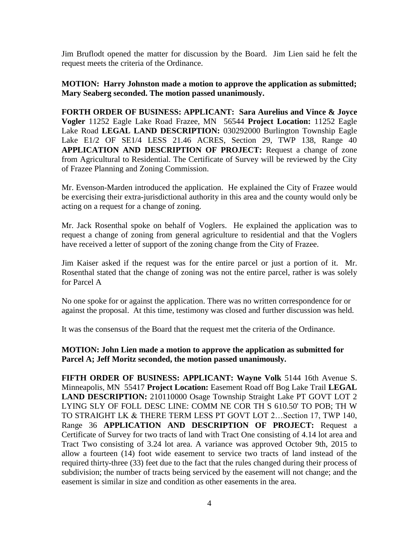Jim Bruflodt opened the matter for discussion by the Board. Jim Lien said he felt the request meets the criteria of the Ordinance.

## **MOTION: Harry Johnston made a motion to approve the application as submitted; Mary Seaberg seconded. The motion passed unanimously.**

**FORTH ORDER OF BUSINESS: APPLICANT: Sara Aurelius and Vince & Joyce Vogler** 11252 Eagle Lake Road Frazee, MN 56544 **Project Location:** 11252 Eagle Lake Road **LEGAL LAND DESCRIPTION:** 030292000 Burlington Township Eagle Lake E1/2 OF SE1/4 LESS 21.46 ACRES, Section 29, TWP 138, Range 40 **APPLICATION AND DESCRIPTION OF PROJECT:** Request a change of zone from Agricultural to Residential. The Certificate of Survey will be reviewed by the City of Frazee Planning and Zoning Commission.

Mr. Evenson-Marden introduced the application. He explained the City of Frazee would be exercising their extra-jurisdictional authority in this area and the county would only be acting on a request for a change of zoning.

Mr. Jack Rosenthal spoke on behalf of Voglers. He explained the application was to request a change of zoning from general agriculture to residential and that the Voglers have received a letter of support of the zoning change from the City of Frazee.

Jim Kaiser asked if the request was for the entire parcel or just a portion of it. Mr. Rosenthal stated that the change of zoning was not the entire parcel, rather is was solely for Parcel A

No one spoke for or against the application. There was no written correspondence for or against the proposal. At this time, testimony was closed and further discussion was held.

It was the consensus of the Board that the request met the criteria of the Ordinance.

# **MOTION: John Lien made a motion to approve the application as submitted for Parcel A; Jeff Moritz seconded, the motion passed unanimously.**

**FIFTH ORDER OF BUSINESS: APPLICANT: Wayne Volk** 5144 16th Avenue S. Minneapolis, MN 55417 **Project Location:** Easement Road off Bog Lake Trail **LEGAL LAND DESCRIPTION:** 210110000 Osage Township Straight Lake PT GOVT LOT 2 LYING SLY OF FOLL DESC LINE: COMM NE COR TH S 610.50' TO POB; TH W TO STRAIGHT LK & THERE TERM LESS PT GOVT LOT 2…Section 17, TWP 140, Range 36 **APPLICATION AND DESCRIPTION OF PROJECT:** Request a Certificate of Survey for two tracts of land with Tract One consisting of 4.14 lot area and Tract Two consisting of 3.24 lot area. A variance was approved October 9th, 2015 to allow a fourteen (14) foot wide easement to service two tracts of land instead of the required thirty-three (33) feet due to the fact that the rules changed during their process of subdivision; the number of tracts being serviced by the easement will not change; and the easement is similar in size and condition as other easements in the area.